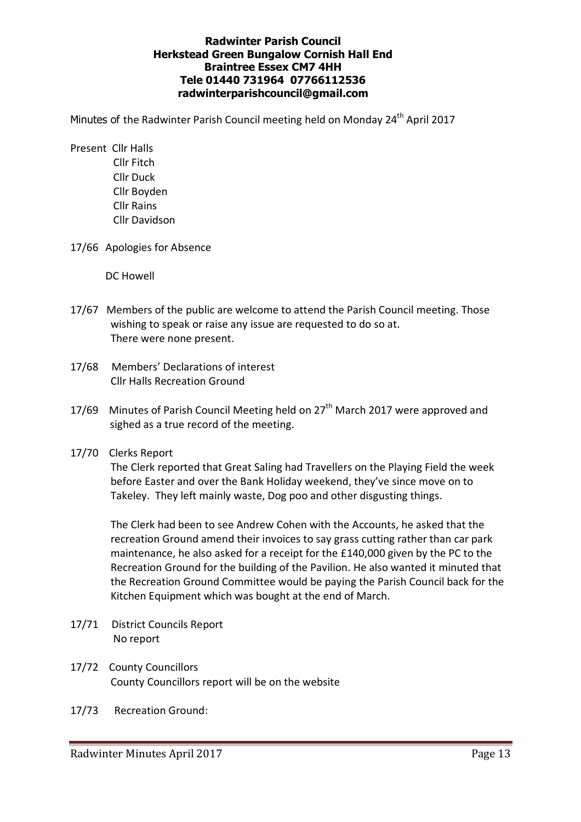## **Radwinter Parish Council Herkstead Green Bungalow Cornish Hall End Braintree Essex CM7 4HH Tele 01440 731964 07766112536 radwinterparishcouncil@gmail.com**

Minutes of the Radwinter Parish Council meeting held on Monday 24<sup>th</sup> April 2017

- Present Cllr Halls Cllr Fitch Cllr Duck Cllr Boyden Cllr Rains Cllr Davidson
- 17/66 Apologies for Absence

DC Howell

- 17/67 Members of the public are welcome to attend the Parish Council meeting. Those wishing to speak or raise any issue are requested to do so at. There were none present.
- 17/68 Members' Declarations of interest Cllr Halls Recreation Ground
- 17/69 Minutes of Parish Council Meeting held on 27<sup>th</sup> March 2017 were approved and sighed as a true record of the meeting.
- 17/70 Clerks Report

The Clerk reported that Great Saling had Travellers on the Playing Field the week before Easter and over the Bank Holiday weekend, they've since move on to Takeley. They left mainly waste, Dog poo and other disgusting things.

The Clerk had been to see Andrew Cohen with the Accounts, he asked that the recreation Ground amend their invoices to say grass cutting rather than car park maintenance, he also asked for a receipt for the £140,000 given by the PC to the Recreation Ground for the building of the Pavilion. He also wanted it minuted that the Recreation Ground Committee would be paying the Parish Council back for the Kitchen Equipment which was bought at the end of March.

- 17/71 District Councils Report No report
- 17/72 County Councillors County Councillors report will be on the website
- 17/73 Recreation Ground: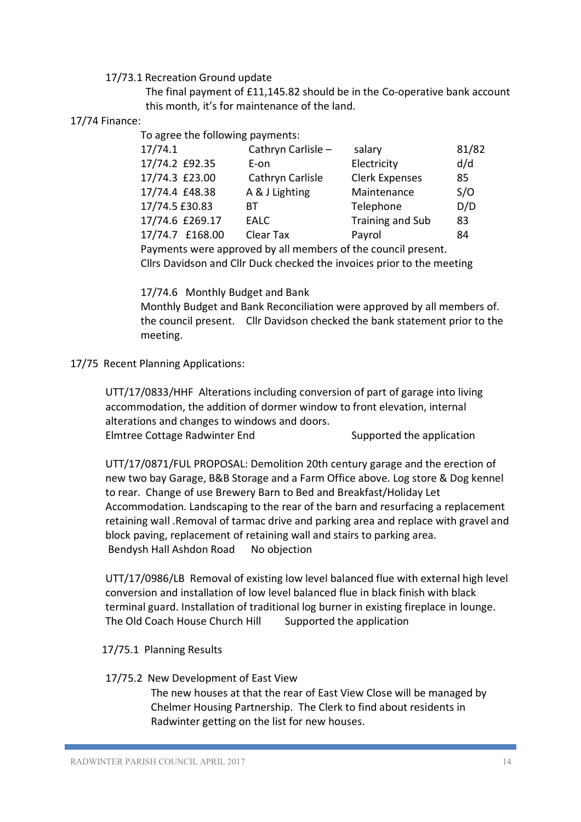17/73.1 Recreation Ground update

The final payment of £11,145.82 should be in the Co-operative bank account this month, it's for maintenance of the land.

## 17/74 Finance:

To agree the following payments:

| 17/74.1         | Cathryn Carlisle - | salary                  | 81/82 |
|-----------------|--------------------|-------------------------|-------|
| 17/74.2 £92.35  | E-on               | Electricity             | d/d   |
| 17/74.3 £23.00  | Cathryn Carlisle   | <b>Clerk Expenses</b>   | 85    |
| 17/74.4 £48.38  | A & J Lighting     | Maintenance             | S/O   |
| 17/74.5 £30.83  | ВT                 | Telephone               | D/D   |
| 17/74.6 £269.17 | EALC               | <b>Training and Sub</b> | 83    |
| 17/74.7 £168.00 | Clear Tax          | Payrol                  | 84    |

 Payments were approved by all members of the council present. Cllrs Davidson and Cllr Duck checked the invoices prior to the meeting

17/74.6 Monthly Budget and Bank

 Monthly Budget and Bank Reconciliation were approved by all members of. the council present. Cllr Davidson checked the bank statement prior to the meeting.

17/75 Recent Planning Applications:

UTT/17/0833/HHF Alterations including conversion of part of garage into living accommodation, the addition of dormer window to front elevation, internal alterations and changes to windows and doors. Elmtree Cottage Radwinter End Supported the application

UTT/17/0871/FUL PROPOSAL: Demolition 20th century garage and the erection of new two bay Garage, B&B Storage and a Farm Office above. Log store & Dog kennel to rear. Change of use Brewery Barn to Bed and Breakfast/Holiday Let Accommodation. Landscaping to the rear of the barn and resurfacing a replacement retaining wall .Removal of tarmac drive and parking area and replace with gravel and block paving, replacement of retaining wall and stairs to parking area. Bendysh Hall Ashdon Road No objection

UTT/17/0986/LB Removal of existing low level balanced flue with external high level conversion and installation of low level balanced flue in black finish with black terminal guard. Installation of traditional log burner in existing fireplace in lounge. The Old Coach House Church Hill Supported the application

- 17/75.1 Planning Results
- 17/75.2 New Development of East View

The new houses at that the rear of East View Close will be managed by Chelmer Housing Partnership. The Clerk to find about residents in Radwinter getting on the list for new houses.